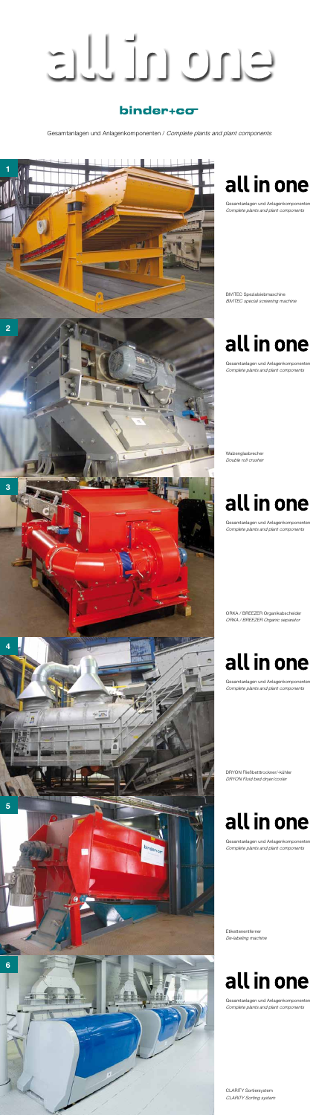# 

## binder+co

Gesamtanlagen und Anlagenkomponenten / Complete plants and plant components

Gesamtanlagen und Anlagenkomponenten Complete plants and plant components

Gesamtanlagen und Anlagenkomponenten Complete plants and plant components

Gesamtanlagen und Anlagenkomponenten Complete plants and plant components

Gesamtanlagen und Anlagenkomponenten Complete plants and plant components

Gesamtanlagen und Anlagenkomponenten Complete plants and plant components

Gesamtanlagen und Anlagenkomponenten Complete plants and plant components

BIVITEC Spezialsiebmaschine BIVITEC special screening machine

## all in one

Walzenglasbrecher Double roll crusher

## II in one

ORKA / BREEZER Organikabscheider ORKA / BREEZER Organic separator

## all in one

DRYON Fließbetttrockner/-kühler DRYON Fluid bed dryer/cooler

## all in one

Etikettenentferner De-labeling machine

# all in one

CLARITY Sortiersystem CLARITY Sorting system



# all in one